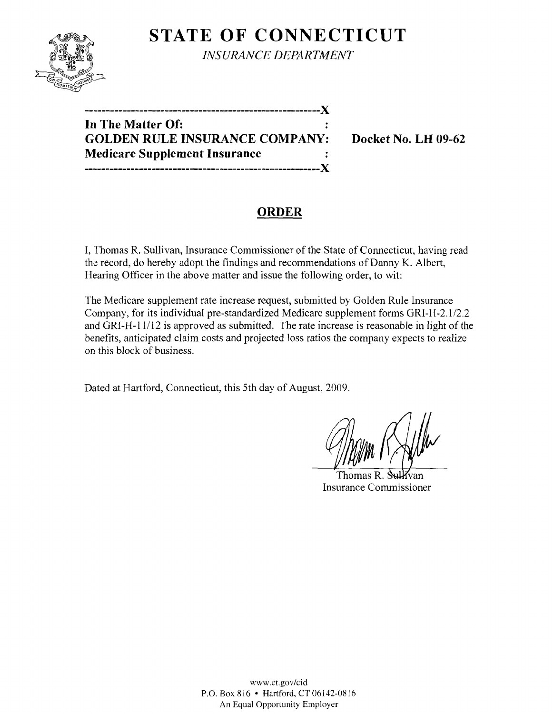# **STATE OF CONNECTICUT**



*INSURANCE DEPARTMENT* 

**In The Matter Of: GOLDEN RULE INSURANCE COMPANY: Docket No. LH 09-62 Medicare Supplement Insurance --------------------------------------------------------)(** 

**--------------------------------------------------------)(** 

## **ORDER**

I, Thomas R. Sullivan, Insurance Commissioner of the State of Connecticut, having read the record, do hereby adopt the findings and recommendations of Danny K. Albert, Hearing Officer in the above matter and issue the following order, to wit:

The Medicare supplement rate increase request, submitted by Golden Rule Insurance Company, for its individual pre-standardized Medicare supplement forms GRI-H-2.1/2.2 and GRI-H-ll/12 is approved as submitted. The rate increase is reasonable in light of the benefits, anticipated claim costs and projected loss ratios the company expects to realize on this block of business.

Dated at Hartford, Connecticut, this 5th day of August, 2009.

Thomas  $R_1$ Insurance Commissioner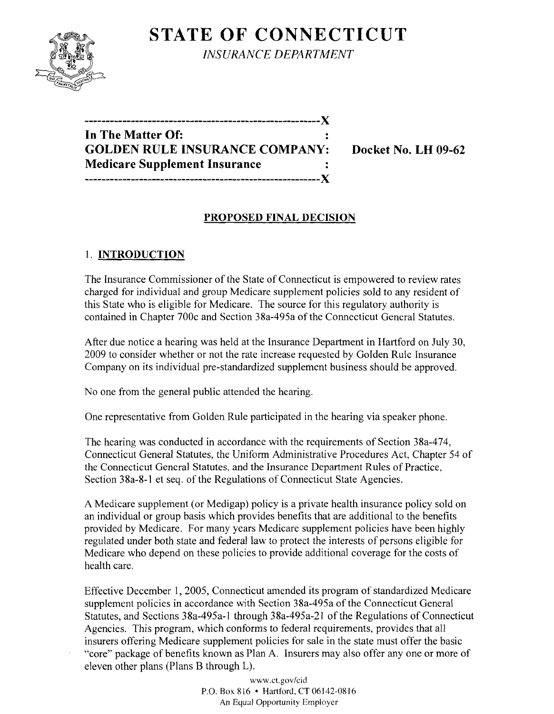

**STATE OF CONNECTICUT** *INSURANCE DEPARTMENT* 

| In The Matter Of:                     |  |
|---------------------------------------|--|
| <b>GOLDEN RULE INSURANCE COMPANY:</b> |  |
| <b>Medicare Supplement Insurance</b>  |  |
|                                       |  |

**Docket No. LH 09-62** 

## **PROPOSED FINAL DECISION**

### I. **INTRODUCTION**

The Insurance Commissioner of the State of Connecticut is empowered to review rates charged for individual and group Medicare supplement policies sold to any resident of this State who is eligible for Medicare. The source for this regulatory authority is contained in Chapter 700c and Section 38a-495a of the Connecticut General Statutes.

After due notice a hearing was held at the Insurance Department in Hartford on July 30, 2009 to consider whether or not the rate increase requested by Golden Rulc Insurance Company on its individual pre-standardized supplement business should be approved.

No one from the general public attended the hearing.

One representative from Golden Rule participated in the hearing via speaker phone.

The hearing was conducted in accordance with the requirements of Section 38a-474, Connecticut General Statutes, the Uniform Administrative Procedures Act, Chapter 54 of the Connecticut General Statutes, and the Insurance Department Rules of Practice, Section 38a-8-1 et seq. of the Regulations of Connecticut State Agencies.

A Medicare supplement (or Medigap) policy is a private health insurance policy sold on an individual or group basis which provides benefits that are additional to the benefits provided by Medicare. For many years Medicare supplement policies have been highly regulated under both state and federal law to protect the interests of persons eligible for Medicare who depend on these policies to provide additional coverage for the costs of health care.

Effective December I, 2005, Connecticut amended its program of standardized Medicare supplement policies in accordance with Section 38a-495a of the Connecticut General Statutes, and Sections 38a-495a-1 through 38a-495a-21 of the Regulations of Connecticut Agencies. This program, which conforms to federal requirements, provides that all insurers offering Medicare supplement policies for sale in the state must offer the basic "core" package of benefits known as Plan A. Insurers may also offer anyone or more of eleven other plans (Plans B through L).

> www.CLgov/cid P.O. Box 816 • Hartford, CT 06142-0816 An Equal Opportunity Employer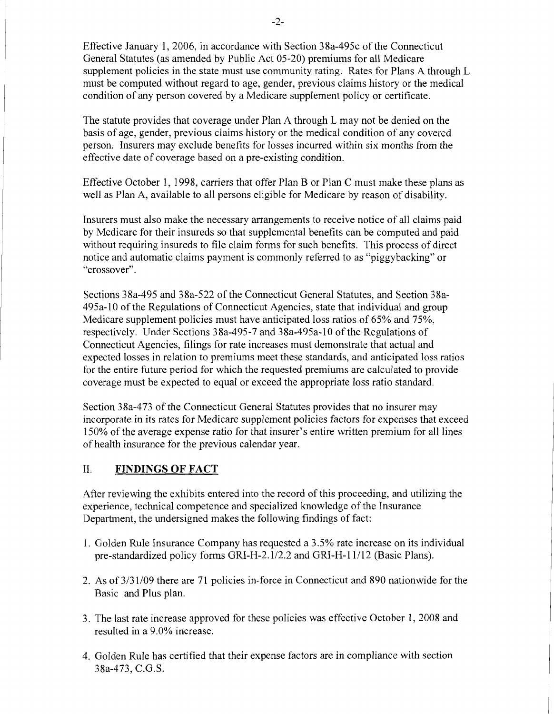Effective January 1,2006, in accordance with Section 38a-495c of the Connecticut General Statutes (as amended by Public Act 05-20) premiums for all Medicare supplement policies in the state must use community rating. Rates for Plans A through L must be computed without regard to age, gender, previous claims history or the medical condition of any person covered by a Medicare supplement policy or certificate.

The statute provides that coverage under Plan A through L may not be denied on the basis of age, gender, previous claims history or the medical condition of any covered person. Insurers may exclude benefits for losses incurred within six months from the effective date of coverage based on a pre-existing condition.

Effective October 1, 1998, carriers that offer Plan B or Plan C must make these plans as well as Plan A, available to all persons eligible for Medicare by reason of disability.

Insurers must also make the necessary arrangements to receive notice of all claims paid by Medicare for their insureds so that supplemental benefits can be computed and paid without requiring insureds to file claim forms for such benefits. This process of direct notice and automatic claims payment is commonly referred to as "piggybacking" or "crossover".

Sections 38a-495 and 38a-522 of the Connecticut General Statutes, and Section 38a-495a-l0 of the Regulations of Connecticut Agencies, state that individual and group Medicare supplement policies must have anticipated loss ratios of 65% and 75%, respectively. Under Sections 38a-495-7 and 38a-495a-10 of the Regulations of Connecticut Agencies, filings for rate increases must demonstrate that actual and expected losses in relation to premiums meet these standards, and anticipated loss ratios for the entire future period for which the requested premiums are calculated to provide coverage must be expected to equal or exceed the appropriate loss ratio standard.

Section 38a-473 of the Connecticut General Statutes provides that no insurer may incorporate in its rates for Medicare supplement policies factors for expenses that exceed 150% of the average expense ratio for that insurer's entire written premium for all lines of health insurance for the previous calendar year.

#### II. **FINDINGS OF FACT**

After reviewing the exhibits entered into the record of this proceeding, and utilizing the experience, technical competence and specialized knowledge of the Insurance Department, the undersigned makes the following findings of fact:

- 1. Golden Rule Insurance Company has requested a 3.5% rate increase on its individual pre-standardized policy forms GRI-H-2.1/2.2 and GRI-H-ll/12 (Basic Plans).
- 2. As of 3/31/09 there are 71 policies in-force in Connecticut and 890 nationwide for the Basic and Plus plan.
- 3. The last rate increase approved for these policies was effective October 1, 2008 and resulted in a 9.0% increase.
- 4. Golden Rule has certified that their expense factors are in compliance with section 38a-473, C.G.S.